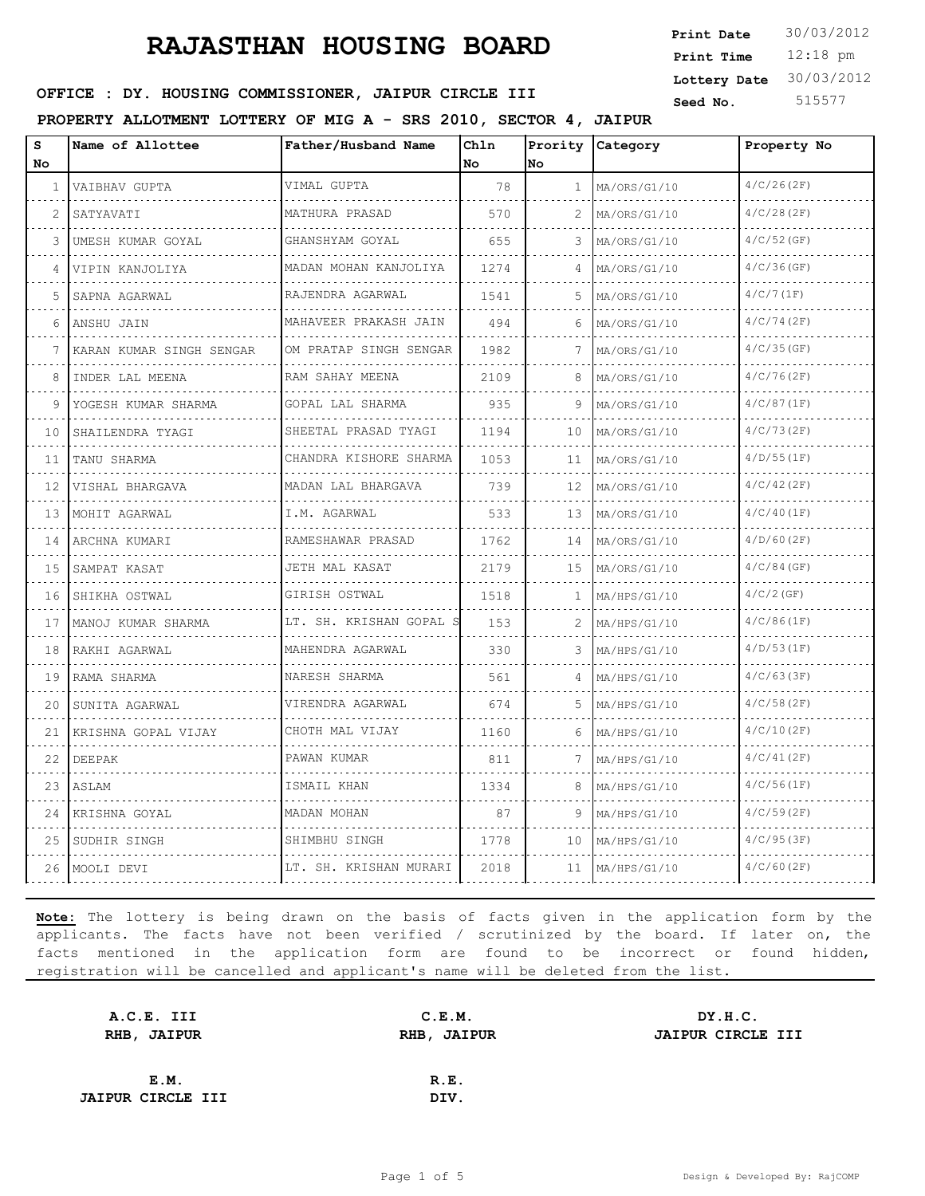12:18 pm **Print Time Print Date**  $30/03/2012$ **Lottery Date** 30/03/2012

#### **SEED OFFICE : DY. HOUSING COMMISSIONER, JAIPUR CIRCLE III** Seed No. 515577

**PROPERTY ALLOTMENT LOTTERY OF MIG A - SRS 2010, SECTOR 4, JAIPUR**

| S<br>No.       | Name of Allottee         | Father/Husband Name              | Chln<br>No | No. | Prority Category  | Property No   |
|----------------|--------------------------|----------------------------------|------------|-----|-------------------|---------------|
| 1              | VAIBHAV GUPTA            | VIMAL GUPTA                      | 78         | 1   | MA/ORS/G1/10      | 4/C/26(2F)    |
| $\overline{2}$ | .<br>SATYAVATI           | is seems seems<br>MATHURA PRASAD | 570        | 2   | .<br>MA/ORS/G1/10 | 4/C/28(2F)    |
| 3              | UMESH KUMAR GOYAL        | GHANSHYAM GOYAL                  | 655        | 3   | MA/ORS/G1/10      | $4/C/52$ (GF) |
| 4              | VIPIN KANJOLIYA          | MADAN MOHAN KANJOLIYA            | 1274       |     | MA/ORS/G1/10      | $4/C/36$ (GF) |
| 5              | SAPNA AGARWAL            | RAJENDRA AGARWAL                 | 1541       | 5   | MA/ORS/G1/10      | $4/C/7$ (1F)  |
| 6              | ANSHU JAIN               | .<br>MAHAVEER PRAKASH JAIN       | 494        | 6   | MA/ORS/G1/10      | 4/C/74(2F)    |
| 7              | KARAN KUMAR SINGH SENGAR | OM PRATAP SINGH SENGAR           | 1982       | 7   | MA/ORS/G1/10      | 4/C/35(GF)    |
| 8              | INDER LAL MEENA          | RAM SAHAY MEENA<br>.             | 2109       | 8   | MA/ORS/G1/10      | 4/C/76(2F)    |
| 9              | YOGESH KUMAR SHARMA      | GOPAL LAL SHARMA                 | 935        | 9   | MA/ORS/G1/10      | 4/C/87(1F)    |
| 10             | SHAILENDRA TYAGI         | SHEETAL PRASAD TYAGI<br>.        | 1194       | 10  | MA/ORS/G1/10      | 4/C/73(2F)    |
| 11             | TANU SHARMA              | CHANDRA KISHORE SHARMA<br>.      | 1053       | 11  | MA/ORS/G1/10      | 4/D/55(1F)    |
| 12             | VISHAL BHARGAVA          | MADAN LAL BHARGAVA               | 739        | 12  | MA/ORS/G1/10      | $4/C/42$ (2F) |
| 13             | MOHIT AGARWAL            | I.M. AGARWAL<br>.                | 533        | 13  | MA/ORS/G1/10      | 4/C/40(1F)    |
| 14             | ARCHNA KUMARI            | RAMESHAWAR PRASAD                | 1762       | 14  | MA/ORS/G1/10      | $4/D/60$ (2F) |
| 15             | SAMPAT KASAT             | JETH MAL KASAT                   | 2179       | 15  | MA/ORS/G1/10      | $4/C/84$ (GF) |
| 16             | SHIKHA OSTWAL            | GIRISH OSTWAL<br>.               | 1518       | 1   | MA/HPS/G1/10      | $4/C/2$ (GF)  |
| 17             | MANOJ KUMAR SHARMA       | LT. SH. KRISHAN GOPAL S          | 153        |     | MA/HPS/G1/10      | 4/C/86(1F)    |
| 18             | RAKHI AGARWAL            | MAHENDRA AGARWAL                 | 330        | 3   | MA/HPS/G1/10      | 4/D/53(1F)    |
| 19             | RAMA SHARMA              | NARESH SHARMA<br>.               | 561        |     | MA/HPS/G1/10      | 4/C/63(3F)    |
| 20             | SUNITA AGARWAL           | VIRENDRA AGARWAL                 | 674        | 5   | MA/HPS/G1/10      | 4/C/58(2F)    |
| 21             | KRISHNA GOPAL VIJAY      | CHOTH MAL VIJAY                  | 1160       | 6   | MA/HPS/G1/10      | 4/C/10(2F)    |
| 22             | DEEPAK                   | PAWAN KUMAR                      | 811        | 7   | MA/HPS/G1/10      | 4/C/41(2F)    |
| 23             | ASLAM                    | ISMAIL KHAN                      | 1334       | 8   | MA/HPS/G1/10      | 4/C/56(1F)    |
| 24             | KRISHNA GOYAL            | MADAN MOHAN                      | 87         | 9   | MA/HPS/G1/10      | 4/C/59(2F)    |
| 25             | SUDHIR SINGH             | SHIMBHU SINGH                    | 1778       | 10  | MA/HPS/G1/10      | 4/C/95(3F)    |
|                | 26  MOOLI DEVI           | LT. SH. KRISHAN MURARI           | 2018       | 11  | MA/HPS/G1/10      | $4/C/60$ (2F) |

| C.E.M.      | DY.H.C.           |
|-------------|-------------------|
| RHB, JAIPUR | JAIPUR CIRCLE III |
|             |                   |
| R.E.        |                   |
| DIV.        |                   |
|             |                   |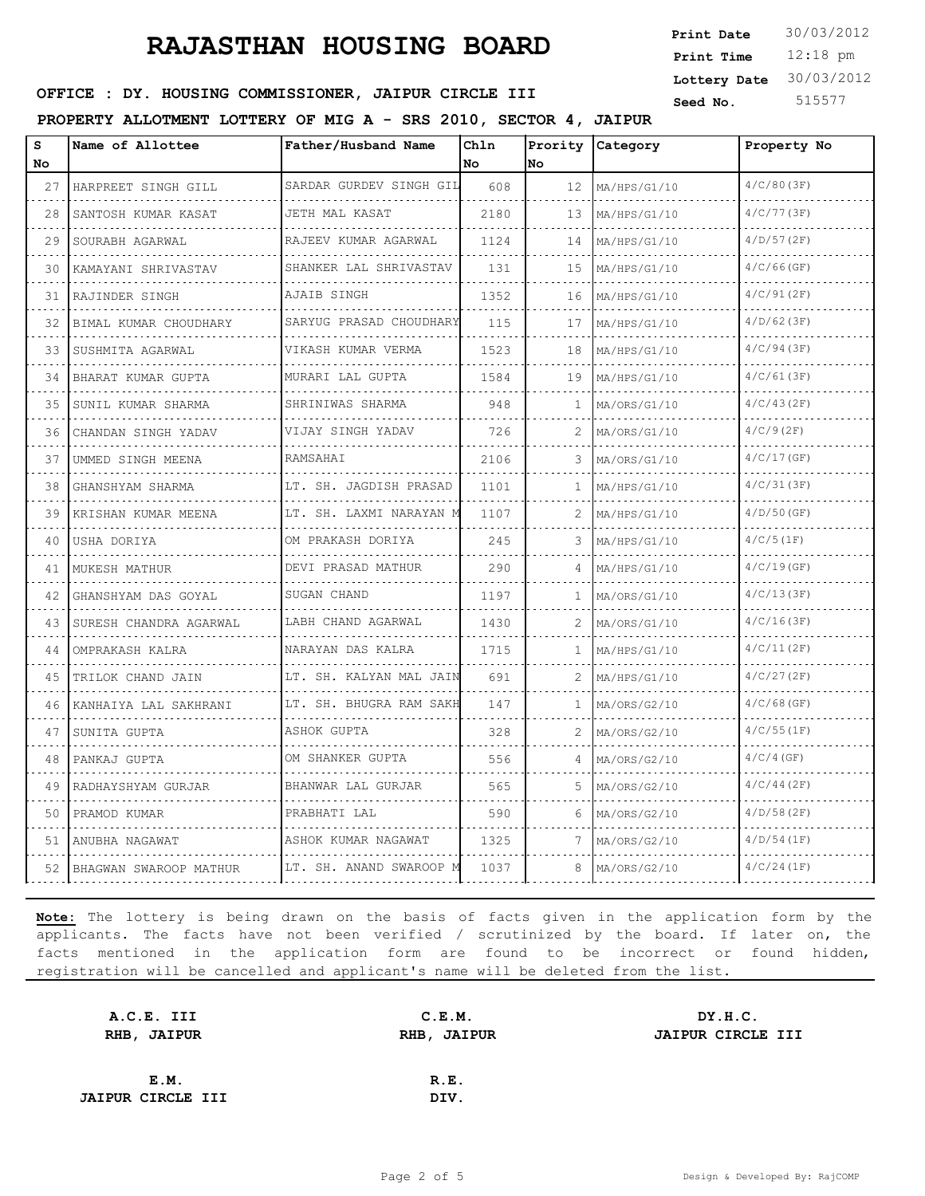12:18 pm **Print Time Print Date**  $30/03/2012$ **Lottery Date** 30/03/2012

#### **SEED OFFICE : DY. HOUSING COMMISSIONER, JAIPUR CIRCLE III** Seed No. 515577

#### **PROPERTY ALLOTMENT LOTTERY OF MIG A - SRS 2010, SECTOR 4, JAIPUR**

| s<br>No | Name of Allottee            | Father/Husband Name                     | Chln<br>No | Prority<br>lno. | Category     | Property No   |
|---------|-----------------------------|-----------------------------------------|------------|-----------------|--------------|---------------|
| 27      | HARPREET SINGH GILL         | SARDAR GURDEV SINGH GIL                 | 608        | 12              | MA/HPS/G1/10 | 4/C/80(3F)    |
| 28      | SANTOSH KUMAR KASAT<br>.    | JETH MAL KASAT<br>.                     | 2180       | 13              | MA/HPS/G1/10 | 4/C/77(3F)    |
| 29      | SOURABH AGARWAL             | RAJEEV KUMAR AGARWAL                    | 1124       | 14              | MA/HPS/G1/10 | 4/D/57(2F)    |
| 30      | KAMAYANI SHRIVASTAV         | SHANKER LAL SHRIVASTAV<br>.             | 131        | 15              | MA/HPS/G1/10 | $4/C/66$ (GF) |
| 31      | RAJINDER SINGH              | AJAIB SINGH<br>.                        | 1352       | 16              | MA/HPS/G1/10 | 4/C/91(2F)    |
| 32      | BIMAL KUMAR CHOUDHARY       | SARYUG PRASAD CHOUDHARY                 | 115        | 17              | MA/HPS/G1/10 | $4/D/62$ (3F) |
| 33      | SUSHMITA AGARWAL            | VIKASH KUMAR VERMA                      | 1523       | 18              | MA/HPS/G1/10 | 4/C/94(3F)    |
| 34      | BHARAT KUMAR GUPTA          | MURARI LAL GUPTA                        | 1584       | 19              | MA/HPS/G1/10 | 4/C/61(3F)    |
| 35      | SUNIL KUMAR SHARMA          | .<br>SHRINIWAS SHARMA                   | 948        | 1               | MA/ORS/G1/10 | 4/C/43(2F)    |
| 36      | CHANDAN SINGH YADAV         | VIJAY SINGH YADAV                       | 726        | 2.              | MA/ORS/G1/10 | $4/C/9$ (2F)  |
| 37      | UMMED SINGH MEENA           | RAMSAHAI                                | 2106       | 3               | MA/ORS/G1/10 | 4/C/17(GF)    |
| 38      | GHANSHYAM SHARMA            | LT. SH. JAGDISH PRASAD                  | 1101       | 1               | MA/HPS/G1/10 | 4/C/31(3F)    |
| 39      | KRISHAN KUMAR MEENA         | LT. SH. LAXMI NARAYAN M                 | 1107       | 2               | MA/HPS/G1/10 | $4/D/50$ (GF) |
| 40      | USHA DORIYA                 | OM PRAKASH DORIYA                       | 245        | 3               | MA/HPS/G1/10 | 4/C/5(1F)     |
| 41      | MUKESH MATHUR               | <u>.</u><br>DEVI PRASAD MATHUR          | 290        | 4               | MA/HPS/G1/10 | 4/C/19(GF)    |
| 42      | GHANSHYAM DAS GOYAL         | SUGAN CHAND                             | 1197       | -1              | MA/ORS/G1/10 | 4/C/13(3F)    |
| 43      | SURESH CHANDRA AGARWAL<br>. | .<br>LABH CHAND AGARWAL<br>.            | 1430       | 2               | MA/ORS/G1/10 | 4/C/16(3F)    |
| 44      | OMPRAKASH KALRA             | NARAYAN DAS KALRA                       | 1715       | $\mathbf{1}$    | MA/HPS/G1/10 | 4/C/11(2F)    |
| 45      | TRILOK CHAND JAIN           | LT. SH. KALYAN MAL JAIN                 | 691        | 2.              | MA/HPS/G1/10 | 4/C/27(2F)    |
| 46      | .<br>KANHAIYA LAL SAKHRANI  | LT. SH. BHUGRA RAM SAKH<br>. <b>.</b> . | 147        | $\mathbf{1}$    | MA/ORS/G2/10 | $4/C/68$ (GF) |
| 47      | SUNITA GUPTA                | ASHOK GUPTA                             | 328        | 2               | MA/ORS/G2/10 | 4/C/55(1F)    |
| 48      | PANKAJ GUPTA                | OM SHANKER GUPTA                        | 556        |                 | MA/ORS/G2/10 | $4/C/4$ (GF)  |
| 49      | RADHAYSHYAM GURJAR          | BHANWAR LAL GURJAR                      | 565        | 5               | MA/ORS/G2/10 | 4/C/44(2F)    |
| 50      | PRAMOD KUMAR                | PRABHATI LAL                            | 590        | 6               | MA/ORS/G2/10 | $4/D/58$ (2F) |
| 51      | ANUBHA NAGAWAT              | ASHOK KUMAR NAGAWAT                     | 1325       |                 | MA/ORS/G2/10 | 4/D/54(1F)    |
| 52      | BHAGWAN SWAROOP MATHUR      | LT. SH. ANAND SWAROOP M                 | 1037       | 8               | MA/ORS/G2/10 | 4/C/24(1F)    |

| C.E.M.      | DY.H.C.           |
|-------------|-------------------|
| RHB, JAIPUR | JAIPUR CIRCLE III |
|             |                   |
| R.E.        |                   |
| DIV.        |                   |
|             |                   |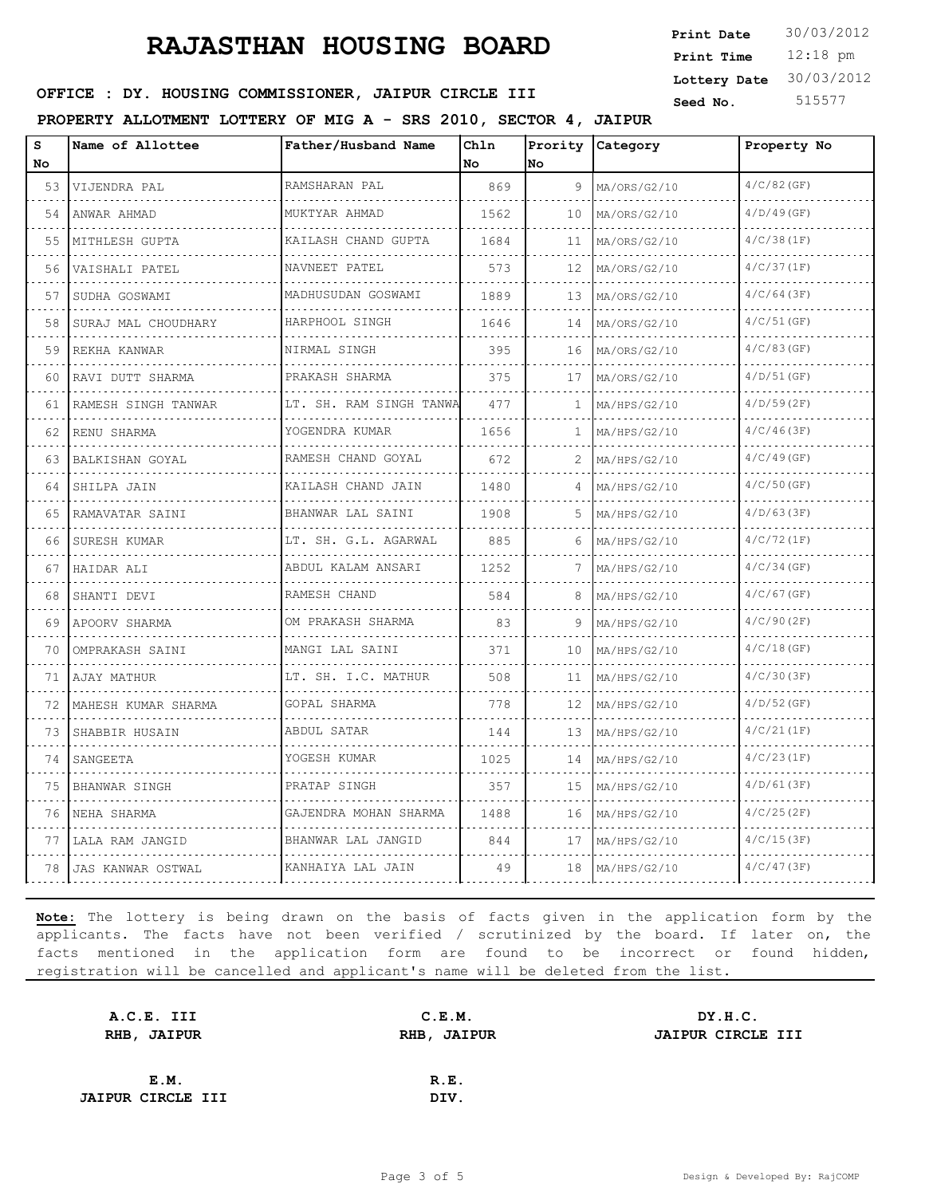12:18 pm **Print Time Print Date**  $30/03/2012$ **Lottery Date** 30/03/2012

#### **SEED OFFICE : DY. HOUSING COMMISSIONER, JAIPUR CIRCLE III** Seed No. 515577

**PROPERTY ALLOTMENT LOTTERY OF MIG A - SRS 2010, SECTOR 4, JAIPUR**

| S<br>No | Name of Allottee    | Father/Husband Name       | Chln<br>No | Prority<br>No | <b>Category</b>   | Property No   |
|---------|---------------------|---------------------------|------------|---------------|-------------------|---------------|
| 53      | VIJENDRA PAL        | RAMSHARAN PAL<br>.        | 869        | 9             | MA/ORS/G2/10      | $4/C/82$ (GF) |
| .<br>54 | .<br>ANWAR AHMAD    | MUKTYAR AHMAD             | 1562       | 10            | .<br>MA/ORS/G2/10 | $4/D/49$ (GF) |
| 55      | MITHLESH GUPTA      | KAILASH CHAND GUPTA       | 1684       | 11            | MA/ORS/G2/10      | 4/C/38(1F)    |
| 56      | VAISHALI PATEL      | NAVNEET PATEL             | 573        | 12            | MA/ORS/G2/10      | 4/C/37(1F)    |
| 57      | SUDHA GOSWAMI       | .<br>MADHUSUDAN GOSWAMI   | 1889       | 13            | MA/ORS/G2/10      | 4/C/64(3F)    |
| 58      | SURAJ MAL CHOUDHARY | .<br>HARPHOOL SINGH       | 1646       | 14            | MA/ORS/G2/10      | $4/C/51$ (GF) |
| 59      | REKHA KANWAR        | NIRMAL SINGH<br>.         | 395        | 16            | MA/ORS/G2/10      | 4/C/83(GF)    |
| 60      | RAVI DUTT SHARMA    | PRAKASH SHARMA            | 375        | 17            | MA/ORS/G2/10      | $4/D/51$ (GF) |
| 61      | RAMESH SINGH TANWAR | LT. SH. RAM SINGH TANWA   | 477        | $\mathbf{1}$  | MA/HPS/G2/10      | $4/D/59$ (2F) |
| 62      | RENU SHARMA         | YOGENDRA KUMAR<br>.       | 1656       | 1.            | MA/HPS/G2/10      | $4/C/46$ (3F) |
| 63      | BALKISHAN GOYAL     | RAMESH CHAND GOYAL        | 672        | 2             | MA/HPS/G2/10      | $4/C/49$ (GF) |
| 64      | SHILPA JAIN         | KAILASH CHAND JAIN        | 1480       | 4             | MA/HPS/G2/10      | $4/C/50$ (GF) |
| 65      | RAMAVATAR SAINI     | BHANWAR LAL SAINI<br>.    | 1908       | 5             | MA/HPS/G2/10      | $4/D/63$ (3F) |
| 66      | SURESH KUMAR        | LT. SH. G.L. AGARWAL<br>. | 885        | 6             | MA/HPS/G2/10      | 4/C/72(1F)    |
| 67      | HAIDAR ALI          | ABDUL KALAM ANSARI        | 1252       | 7             | MA/HPS/G2/10      | $4/C/34$ (GF) |
| 68      | SHANTI DEVI         | RAMESH CHAND              | 584        | 8             | MA/HPS/G2/10      | $4/C/67$ (GF) |
| 69      | APOORV SHARMA       | OM PRAKASH SHARMA         | 83         |               | MA/HPS/G2/10      | 4/C/90(2F)    |
| 70      | OMPRAKASH SAINI     | MANGI LAL SAINI<br>.      | 371        | 10            | MA/HPS/G2/10      | $4/C/18$ (GF) |
| 71      | AJAY MATHUR         | LT. SH. I.C. MATHUR<br>.  | 508        | 11            | MA/HPS/G2/10      | 4/C/30(3F)    |
| 72      | MAHESH KUMAR SHARMA | GOPAL SHARMA              | 778        | 12.           | MA/HPS/G2/10      | $4/D/52$ (GF) |
| 73      | SHABBIR HUSAIN      | ABDUL SATAR               | 144        | 13            | MA/HPS/G2/10      | 4/C/21(1F)    |
| 74      | SANGEETA            | YOGESH KUMAR              | 1025       | 14            | MA/HPS/G2/10      | 4/C/23(1F)    |
| 75      | BHANWAR SINGH       | PRATAP SINGH              | 357        | 15            | MA/HPS/G2/10      | 4/D/61(3F)    |
| 76      | NEHA SHARMA         | GAJENDRA MOHAN SHARMA     | 1488       | 16            | MA/HPS/G2/10      | 4/C/25(2F)    |
| 77      | LALA RAM JANGID     | BHANWAR LAL JANGID        | 844        | 17            | MA/HPS/G2/10      | 4/C/15(3F)    |
| 78      | JAS KANWAR OSTWAL   | KANHAIYA LAL JAIN         | 49         | 18            | MA/HPS/G2/10      | 4/C/47(3F)    |

| C.E.M.      | DY.H.C.           |
|-------------|-------------------|
| RHB, JAIPUR | JAIPUR CIRCLE III |
|             |                   |
| R.E.        |                   |
| DIV.        |                   |
|             |                   |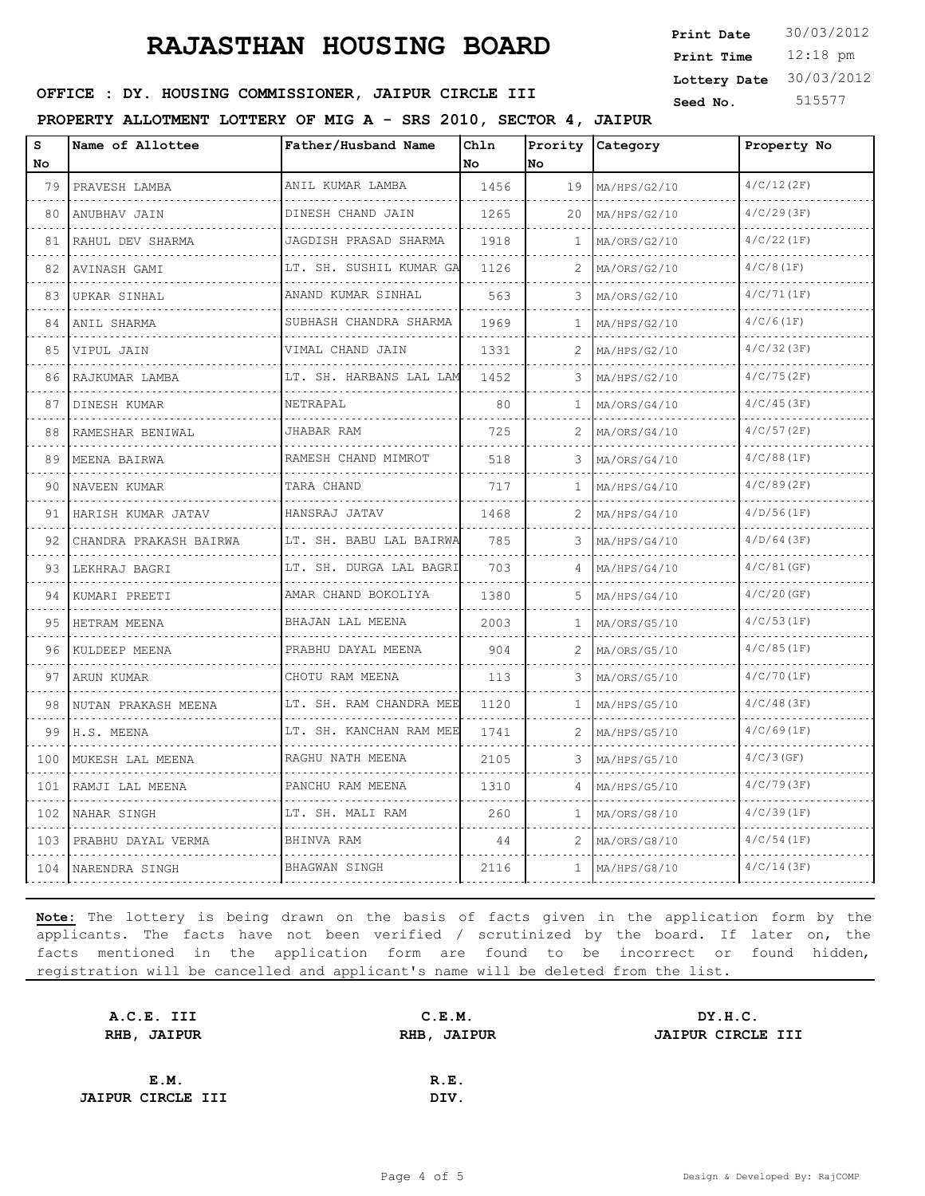12:18 pm **Print Time Print Date**  $30/03/2012$ **Lottery Date** 30/03/2012

#### **SEED OFFICE : DY. HOUSING COMMISSIONER, JAIPUR CIRCLE III** Seed No. 515577

**PROPERTY ALLOTMENT LOTTERY OF MIG A - SRS 2010, SECTOR 4, JAIPUR**

| S<br>No. | Name of Allottee       | Father/Husband Name         | Chln<br>No. | No. | Prority Category  | Property No   |
|----------|------------------------|-----------------------------|-------------|-----|-------------------|---------------|
| 79       | PRAVESH LAMBA          | ANIL KUMAR LAMBA            | 1456        | 19  | MA/HPS/G2/10      | 4/C/12(2F)    |
| 80       | .<br>ANUBHAV JAIN      | .<br>DINESH CHAND JAIN      | 1265        | 20  | .<br>MA/HPS/G2/10 | 4/C/29(3F)    |
| 81       | RAHUL DEV SHARMA       | JAGDISH PRASAD SHARMA       | 1918        | 1   | MA/ORS/G2/10      | 4/C/22(1F)    |
| 82       | AVINASH GAMI           | LT. SH. SUSHIL KUMAR GA     | 1126        | 2   | MA/ORS/G2/10      | $4/C/8$ (1F)  |
| 83       | UPKAR SINHAL           | ANAND KUMAR SINHAL          | 563         |     | MA/ORS/G2/10      | 4/C/71(1F)    |
| 84       | ANIL SHARMA            | .<br>SUBHASH CHANDRA SHARMA | 1969        | 1   | MA/HPS/G2/10      | 4/C/6(1F)     |
| 85       | VIPUL JAIN             | VIMAL CHAND JAIN            | 1331        | 2   | MA/HPS/G2/10      | 4/C/32(3F)    |
| 86       | RAJKUMAR LAMBA         | LT. SH. HARBANS LAL LAM     | 1452        |     | MA/HPS/G2/10      | 4/C/75(2F)    |
| 87       | DINESH KUMAR           | NETRAPAL                    | 80          | 1   | MA/ORS/G4/10      | 4/C/45(3F)    |
| 88       | RAMESHAR BENIWAL       | JHABAR RAM<br>.             | 725         | 2   | MA/ORS/G4/10      | 4/C/57(2F)    |
| 89       | MEENA BAIRWA           | RAMESH CHAND MIMROT         | 518         |     | MA/ORS/G4/10      | 4/C/88(1F)    |
| 90       | NAVEEN KUMAR           | TARA CHAND                  | 717         | 1   | MA/HPS/G4/10      | 4/C/89(2F)    |
| 91       | HARISH KUMAR JATAV     | HANSRAJ JATAV<br>.          | 1468        | 2   | MA/HPS/G4/10      | 4/D/56(1F)    |
| 92       | CHANDRA PRAKASH BAIRWA | LT. SH. BABU LAL BAIRWA     | 785         |     | MA/HPS/G4/10      | $4/D/64$ (3F) |
| 93       | LEKHRAJ BAGRI          | LT. SH. DURGA LAL BAGRI     | 703         | 4   | MA/HPS/G4/10      | 4/C/81(GF)    |
| 94       | KUMARI PREETI          | AMAR CHAND BOKOLIYA         | 1380        | 5   | MA/HPS/G4/10      | $4/C/20$ (GF) |
| 95       | HETRAM MEENA           | BHAJAN LAL MEENA            | 2003        | 1   | MA/ORS/G5/10      | 4/C/53(1F)    |
| 96       | KULDEEP MEENA          | PRABHU DAYAL MEENA<br>.     | 904         | 2   | MA/ORS/G5/10      | 4/C/85(1F)    |
| 97       | ARUN KUMAR             | CHOTU RAM MEENA<br>.        | 113         | 3   | MA/ORS/G5/10      | 4/C/70(1F)    |
| 98       | NUTAN PRAKASH MEENA    | LT. SH. RAM CHANDRA MEE     | 1120        | 1   | MA/HPS/G5/10      | 4/C/48(3F)    |
| 99       | H.S. MEENA             | LT. SH. KANCHAN RAM MEE     | 1741        | 2   | MA/HPS/G5/10      | 4/C/69(1F)    |
| 100      | MUKESH LAL MEENA       | RAGHU NATH MEENA            | 2105        | 3   | MA/HPS/G5/10      | $4/C/3$ (GF)  |
| 101      | RAMJI LAL MEENA        | PANCHU RAM MEENA            | 1310        |     | MA/HPS/G5/10      | 4/C/79(3F)    |
| 102      | NAHAR SINGH            | LT. SH. MALI RAM            | 260         | 1   | MA/ORS/G8/10      | 4/C/39(1F)    |
| 103      | PRABHU DAYAL VERMA     | BHINVA RAM                  | 44          | 2   | MA/ORS/G8/10      | 4/C/54(1F)    |
|          | 104 NARENDRA SINGH     | <b>BHAGWAN SINGH</b>        | 2116        | 1.  | MA/HPS/G8/10      | 4/C/14(3F)    |

| C.E.M.      | DY.H.C.           |
|-------------|-------------------|
| RHB, JAIPUR | JAIPUR CIRCLE III |
|             |                   |
| R.E.        |                   |
| DIV.        |                   |
|             |                   |